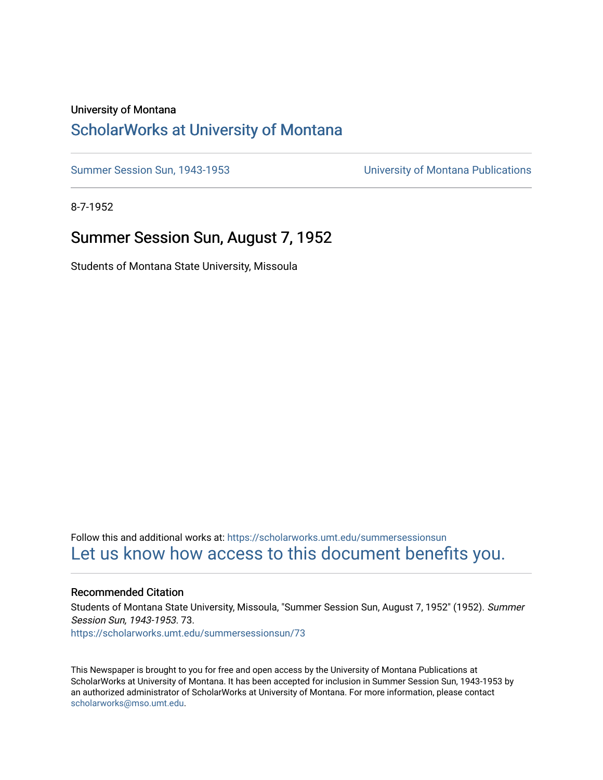#### University of Montana

## [ScholarWorks at University of Montana](https://scholarworks.umt.edu/)

[Summer Session Sun, 1943-1953](https://scholarworks.umt.edu/summersessionsun) [University of Montana Publications](https://scholarworks.umt.edu/umpubs) 

8-7-1952

### Summer Session Sun, August 7, 1952

Students of Montana State University, Missoula

Follow this and additional works at: [https://scholarworks.umt.edu/summersessionsun](https://scholarworks.umt.edu/summersessionsun?utm_source=scholarworks.umt.edu%2Fsummersessionsun%2F73&utm_medium=PDF&utm_campaign=PDFCoverPages)  [Let us know how access to this document benefits you.](https://goo.gl/forms/s2rGfXOLzz71qgsB2) 

#### Recommended Citation

Students of Montana State University, Missoula, "Summer Session Sun, August 7, 1952" (1952). Summer Session Sun, 1943-1953. 73. [https://scholarworks.umt.edu/summersessionsun/73](https://scholarworks.umt.edu/summersessionsun/73?utm_source=scholarworks.umt.edu%2Fsummersessionsun%2F73&utm_medium=PDF&utm_campaign=PDFCoverPages)

This Newspaper is brought to you for free and open access by the University of Montana Publications at ScholarWorks at University of Montana. It has been accepted for inclusion in Summer Session Sun, 1943-1953 by an authorized administrator of ScholarWorks at University of Montana. For more information, please contact [scholarworks@mso.umt.edu.](mailto:scholarworks@mso.umt.edu)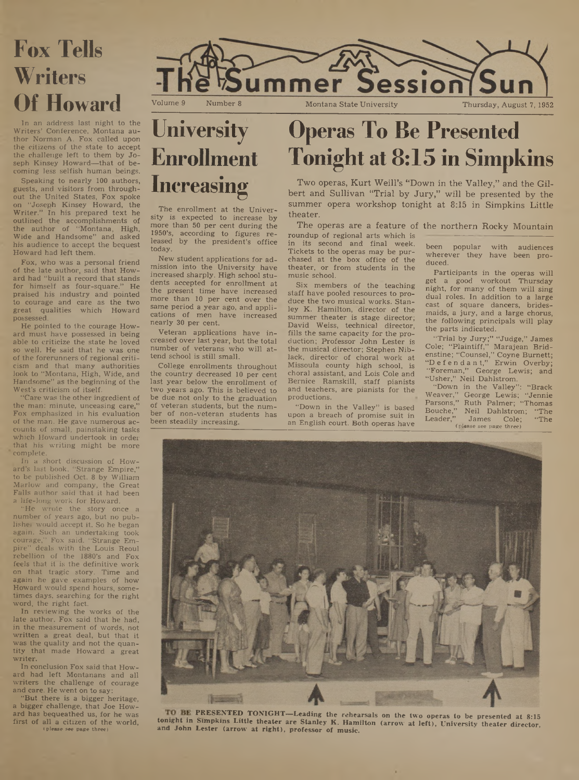

In an address last night to the Writers' Conference, Montana author Norman A. Fox called upon the citizens of the state to accept the challenge left to them by Joseph Kinsey Howard—that of becoming less selfish human beings.

Speaking to nearly 100 authors, guests, and visitors from throughout the United States, Fox spoke on "Joseph Kinsey Howard, the Writer." In his prepared text he outlined the accomplishments of the author of "Montana, High, Wide and Handsome" and asked his audience to accept the bequest Howard had left them.

Fox, who was a personal friend of the late author, said that Howard had "built a record that stands for himself as four-square." He praised his industry and pointed to courage and care as the two great qualities which Howard possessed.

He pointed to the courage Howard must have possessed in being able to criticize the state he loved so well. He said that he was one of the forerunners of regional criticism and that many authorities look to "Montana, High, Wide, and Handsome" as the beginning of the West's criticism of itself.

"Care was the other ingredient of the man: minute, unceasing care,' Fox emphasized in his evaluation of the man. He gave numerous accounts of small, painstaking tasks which Howard undertook in order that his writing might be more complete.

In a short discussion of Howard's last book, "Strange Empire," to be published Oct. 8 by William Marlow and company, the Great Falls author said that it had been a life-long work for Howard.

"He wrote the story once a number of years ago, but no publisher would accept it. So he began again. Such an undertaking took courage," Fox said. "Strange Empire" deals with the Louis Reoul rebellion of the 1880's and Fox feels that it is the definitive work on that tragic story. Time and again he gave examples of how Howard would spend hours, sometimes days, searching for the right word, the right fact.

In reviewing the works of the late author, Fox said that he had, in the measurement of words, not written a great deal, but that it was the quality and not the quantity that made Howard a great writer.

In conclusion Fox said that Howard had left Montanans and all writers the challenge of courage and care. He went on to say:

"But there is a bigger heritage, a bigger challenge, that Joe Howard has bequeathed us, for he was first of all a citizen of the world, (please see page three)



The enrollment at the Univer-sity is expected to increase by more than 50 per cent during the 1950's, according to figures released by the president's office today.

New student applications for admission into the University have increased sharply. High school students accepted for enrollment at the present time have increased more than 10 per cent over the same period a year ago, and applications of men have increased nearly 30 per cent.

Veteran applications have increased over last year, but the total number of veterans who will attend school is still small.

College enrollments throughout the country decreased 10 per cent last year below the enrollment of two years ago. This is believed to be due not only to the graduation of veteran students, but the number of non-veteran students has been steadily increasing.

# **Operas To Be Presented Tonight at 8:15 in Simpkins**

Two operas, Kurt Weill's "Down in the Valley," and the Gilbert and Sullivan "Trial by Jury," will be presented by the summer opera workshop tonight at 8:15 in Simpkins Little theater.

The operas are a feature of the northern Rocky Mountain roundup of regional arts which is in its second and final week. Tickets to the operas may be purchased at the box office of the theater, or from students in the music school.

Six members of the teaching staff have pooled resources to produce the two musical works. Stanley K. Hamilton, director of the summer theater is stage director; David Weiss, technical director, fills the same capacity for the production; Professor John Lester is the musical director; Stephen Niblack, director of choral work at Missoula county high school, is choral assistant, and Lois Cole and Bernice Ramskill, staff pianists and teachers, are pianists for the productions.

"Down in the Valley" is based upon a breach of promise suit in an English court. Both operas have

been popular with audiences wherever they have been produced.

Participants in the operas will get a good workout Thursday night, for many of them will sing dual roles. In addition to a large cast of square dancers, bridesmaids, a jury, and a large chorus, the following principals will play the parts indicated.

"Trial by Jury;" "Judge," James Cole; "Plaintiff," Marajean Bridenstine; "Counsel," Coyne Burnett; "D e f e n d a n t," Erwin Overby; "Foreman," George Lewis; and "Usher," Neil Dahlstrom.

"Down in the Valley": "Brack Weaver," George Lewis; "Jennie Parsons," Ruth Palmer; "Thomas Bouche," Neil Dahlstrom; "The Leader," James Cole; "The (please see page three)



**. PRESENTED TONIGHT—Leading the rehearsals on the two operas to be presented at 8:15 tonight in Simpkins Little theater are Stanley K. Hamilton (arrow at left), University theater director, and John Lester (arrow at right), professor of music.**

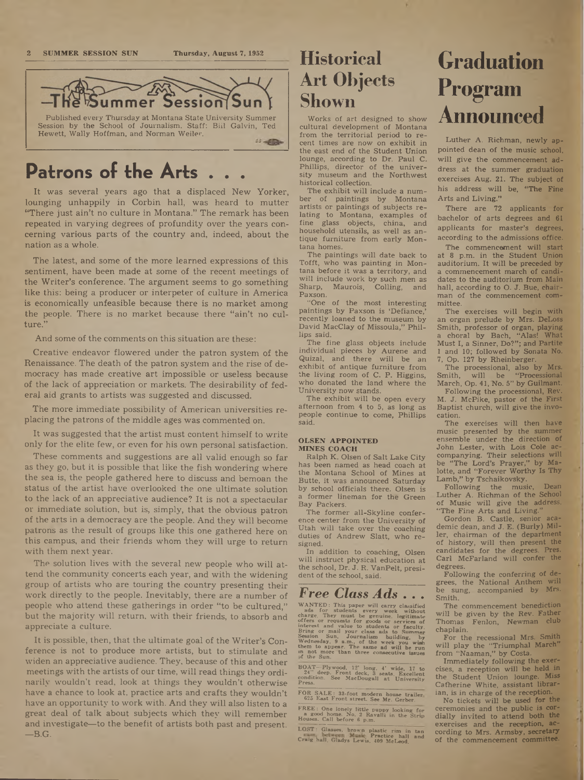#### **2 SUMMER SESSION SUN Thursday, August 7, 1952**



# **Patrons of the Arts . . .**

It was several years ago that a displaced New Yorker, lounging unhappily in Corbin hall, was heard to mutter "There just ain't no culture in Montana." The remark has been repeated in varying degrees of profundity over the years concerning various parts of the country and, indeed, about the nation as a whole.

The latest, and some of the more learned expressions of this sentiment, have been made at some of the recent meetings of the Writer's conference. The argument seems to go something like this: being a producer or interpeter of culture in America is economically unfeasible because there is no market among the people. There is no market because there "ain't no culture.'

And some of the comments on this situation are these:

Creative endeavor flowered under the patron system of the Renaissance. The death of the patron system and the rise of democracy has made creative art impossible or useless because of the lack of appreciation or markets. The desirability of federal aid grants to artists was suggested and discussed.

The more immediate possibility of American universities replacing the patrons of the middle ages was commented on.

It was suggested that the artist must content himself to write only for the elite few, or even for his own personal satisfaction.

These comments and suggestions are all valid enough so far as they go, but it is possible that like the fish wondering where the sea is, the people gathered here to discuss and bemoan the status of the artist have overlooked the one ultimate solution to the lack of an appreciative audience? It is not a spectacular or immediate solution, but is, simply, that the obvious patron of the arts in a democracy are the people. And they will become patrons as the result of groups like this one gathered here on this campus, and their friends whom they will urge to return with them next year.

The solution lives with the several new people who will attend the community concerts each year, and with the widening group of artists who are touring the country presenting their work directly to the people. Inevitably, there are a number of people who attend these gatherings in order "to be cultured," but the majority will return, with their friends, to absorb and appreciate a culture.

It is possible, then, that the ultimate goal of the Writer's Conference is not to produce more artists, but to stimulate and widen an appreciative audience. They, because of this and other meetings with the artists of our time, will read things they ordinarily wouldn't read, look at things they wouldn't otherwise have a chance to look at, practice arts and crafts they wouldn't have an opportunity to work with. And they will also listen to a great deal of talk about subjects which they will remember and investigate—to the benefit of artists both past and present.  $-B.G.$ 

## **Historical Art Objects Shown**

Works of art designed to show cultural development of Montana from the territorial period to recent times are now on exhibit in the east end of the Student Union lounge, according to Dr. Paul C. Phillips, director of the university museum and the Northwest historical collection.

The exhibit will include a number of paintings by Montana artists or paintings of subjects relating to Montana, examples of fine glass objects, china, and household utensils, as well as antique furniture from early Montana homes.

The paintings will date back to Tofft, who was painting in Montana before it was a territory, and will include work by such men as Sharp, Maurois, Colling, and Paxson.

"One of the most interesting paintings by Paxson is 'Defiance,' recently loaned to the museum by David MacClay of Missoula," Phillips said.

The fine glass objects include individual pieces by Aurene and Quizal, and there will be an exhibit of antique furniture from the living room of C. P. Higgins, who donated the land where the University now stands.

The exhibit will be open every afternoon from 4 to 5, as long as people continue to come, Phillips said.

#### **OLSEN APPOINTED MINES COACH**

Ralph K. Olsen of Salt Lake City has been named as head coach at the Montana School of Mines at Butte, it was announced Saturday by school officials there. Olsen is a former lineman for the Green Bay Packers.

The former all-Skyline conference center from the University of Utah will take over the coaching duties of Andrew Slatt, who resigned.

In addition to coaching, Olsen will instruct physical education at the school, Dr. J. R. VanPelt, president of the school, said.

#### *Free Class Ads . . .*

WANTED: This paper will carry classified<br>who and for students every week without<br>charge. They must be genuine, legitimate<br>charge. They must be genuine, legitimate<br>interest and value to students or faculty.<br>Bring or mail yo

BOAT—Plywood, 12' long, 4' wide, 17 to<br>24'' deep. Front deck, 3 seats. Excellent<br>condition. See MacDougall at University<br>Press.

FOR SALE: 33-foot modern house trailer 625 East Front street. See Mr. Gerber.

FREE: One lonely little puppy looking for a good home. No. 2 Ravalli in the Strip Houses. Call before 6 p.m.

LOST: Glasses, brown plastic rim in tan n Practice hall and Craig hall. Gladys Lewis. 409 McLeod.

# **Graduation Program Announced**

Luther A. Richman, newly appointed dean of the music school, will give the commencement address at the summer graduation exercises Aug. 21. The subject of his address will be, "The Fine Arts and Living."

There are 72 applicants for bachelor of arts degrees and <sup>61</sup> applicants for master's degrees, according to the admissions office.

The commencement will start at 8 p.m. in the Student Union auditorium. It will be preceded by a commencement march of candidates to the auditorium from Main hall, according to O. J. Bue, chairman of the commencement committee.

The exercises will begin with an organ prelude by Mrs. DeLoss Smith, professor of organ, playing a choral by Bach, "Alas! What Must I, a Sinner, Do?"; and Partite <sup>1</sup> and 10; followed by Sonata No. 7, Op. 127 by Rheinberger.

The processional, also by Mrs.<br>mith, will be "Processional Smith, will be "Processional March, Op. 41, No. 5" by Guilmant. Following the processional. Rev.

M. J. McPike, pastor of the First Baptist church, will give the invocation.

The exercises will then have music presented by the summer ensemble under the direction of John Lester, with Lois Cole accompanying. Their selections will be "The Lord's Prayer," by Malotte, and "Forever Worthy Is Thy Lamb," by Tschaikovsky.

Following the music, Dean Luther A. Richman of the School of Music will give the address, "The Fine Arts and Living."

Gordon B. Castle, senior aca-demic dean, and J. E. (Burly) Miller, chairman of the department of history, will then present the candidates for the degrees. Pres. Carl McFarland will confer the degrees.

Following the conferring of degrees, the National Anthem will be sung, accompanied by Mrs. Smith.

The commencement benediction will be given by the Rev. Father Thomas Fenlon, Newman dub chaplain.

For the recessional Mrs. Smith will play the "Triumphal March" from "Naaman," by Costa.

Immediately following the exercises, a reception will be held in the Student Union lounge. Miss Catherine White, assistant librarian, is in charge of the reception.

No tickets will be used for the ceremonies and the public is cordially invited to attend both the exercises and the reception, according to Mrs. Armsby, secretary of the commencement committee.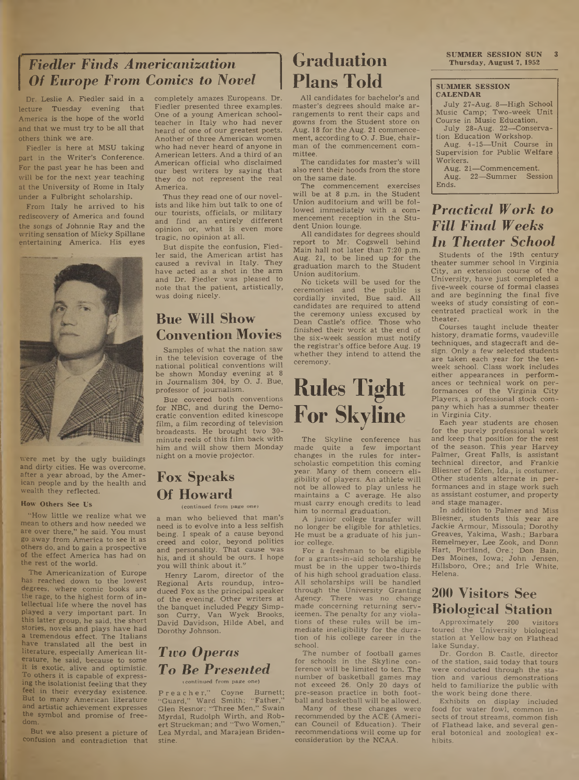## $$ *Of Europe From Comics to Novel*

Dr. Leslie A. Fiedler said in a lecture Tuesday evening that America is the hope of the world and that we must try to be all that others think we are.

Fiedler is here at MSU taking part in the Writer's Conference. For the past year he has been and will be for the next year teaching at the University of Rome in Italy under a Fulbright scholarship.

From Italy he arrived to his rediscovery of America and found the songs of Johnnie Ray and the writing sensation of Micky Spillane entertaining America. His eyes



Were met by the ugly buildings and dirty cities. He was overcome, after a year abroad, by the American people and by the health and wealth they reflected.

#### **How Others See Us**

"How little we realize what we mean to others and how needed we are over there," he said. You must go away from America to see it as others do, and to gain a prospective of the effect America has had on the rest of the world.

The Americanization of Europe has reached down to the lowest degrees, where comic books are the rage, to the highest form of intellectual life where the novel has played a very important part. In this latter group, he said, the short stories, hovels and plays have had a tremendous effect. The Italians have translated all the best in literature, especially American literature, he said, because to some it is exotic, alive and optimistic. To others it is capable of expressing the isolationist feeling that they feel in their everyday existence. But to many American literature and artistic achievement expresses the symbol and promise of freedom.

But we also present a picture of confusion and contradiction that

completely amazes Europeans. Dr. Fiedler presented three examples. One of a young American schoolteacher in Italy who had never heard of one of our greatest poets. Another of three American women who had never heard of anyone in American letters. And a third of an American official who disclaimed our best writers by saying that they do not represent the real America.

Thus they read one of our novelists and like him but talk to one of our tourists, officials, or military and find an entirely different opinion or, what is even more tragic, no opinion at all.

But dispite the confusion, Fiedler said, the American artist has caused a revival in Italy. They have acted as a shot in the arm and Dr. Fiedler was pleased to note that the patient, artistically, was doing nicely.

## **Bue Will Show Convention Movies**

Samples of what the nation saw in the television coverage of the national political conventions will be shown Monday evening at <sup>8</sup> in Journalism 304, by O. J. Bue, professor of journalism.

Bue covered both conventions for NBC, and during the Democratic convention edited kinescope film, a film recording of television broadcasts. He brought two 30 minute reels of this film back with him and will show them Monday night on a movie projector.

## **Fox Speaks Of Howard**

#### (continued from page one)

a man who believed that man's need is to evolve into a less selfish being. I speak of a cause beyond creed and color, beyond politics and personality. That cause was his, and it should be ours. I hope you will think about it."

Henry Larom, director of the Regional Arts roundup, introduced Fox as the principal speaker of the evening. Other writers at the banquet included Peggy Simpson Curry, Van Wyck Brooks, David Davidson, Hilde Abel, and Dorothy Johnson.

## *Two Operas To Be Presented*

#### icontinued from page one)

P r e a c h e r," Coyne Burnett; "Guard," Ward Smith; "Father," Glen Resnor; "Three Men," Swain Myrdal, Rudolph Wirth, and Robert Struckman; and "Two Women," Lea Myrdal, and Marajean Bridenstine.

## **Graduation Plans Told**

A1I candidates for bachelor's and master's degrees should make arrangements to rent their caps and gowns from the Student store on Aug. 18 for the Aug. 21 commencement, according to O. J. Bue, chairman of the commencement committee.

The candidates for master's will also rent their hoods from the store on the same date.

The commencement exercises will be at 8 p.m. in the Student Union auditorium and will be followed immediately with a commencement reception in the Student Union lounge.

AU candidates for degrees should report to Mr. Cogswell behind Main hall not later than 7:20 p.m. Aug. 21, to be lined up for the graduation march to the Student Union auditorium.

No tickets will be used for the ceremonies and the public is cordially invited, Bue said. All candidates are required to attend the ceremony unless excused by Dean Castle's office. Those who finished their work at the end of the six-week session must notify the registrar's office before Aug. 19 whether they intend to attend the ceremony.

# **Rules Tight For Skyline**

The Skyline conference has made quite a few important changes in the rules for interscholastic competition this coming year. Many of them concern eligibility of players. An athlete wiU not be allowed to play unless he maintains a C average. He also must carry enough credits to lead him to normal graduation.

A junior college transfer will no longer be eligible for athletics. He must be a graduate of his junior college.

For a freshman to be eligible for a grants-in-aid scholarship he must be in the upper two-thirds of his high school graduation class. AU scholarships will be handled through the University Granting<br>Agency. There was no change There was no change made concerning returning servicemen. The penalty for any violations of these rules wiU be immediate ineligibility for the duration of his college career in the school.

The number of football games for schools in the Skyline conference wiU be limited to ten. The number of basketball games may not exceed 26. Only 20 days of pre-season practice in both football and basketball will be allowed.

Many of these changes were recommended by the ACE (American Council of Education). Their recommendations will come up for consideration by the NCAA.

**SUMMER SESSION SUN**<br>**Thursday, August 7, 1952** 

#### **SUMMER SESSION CALENDAR**

July 27-Aug. 8—High School Music Camp; Two-week Unit Course in Music Education.

July 28-Aug. 22—Conservation Education Workshop.

Aug. 4-15—Unit Course in Supervision for Public Welfare Workers.

Aug. 21—Commencement. Aug. 22—Summer Session Ends.

### *Practical Work to Fill Final Weeks In Theater School*

Students of the 19th century theater summer school in Virginia City, an extension course of the University, have just completed a five-week course of formal classes and are beginning the final five weeks of study consisting of concentrated practical work in the theater.

Courses taught include theaterhistory, dramatic forms, vaudeville techniques, and stagecraft and design. Only a few selected students are taken each year for the tenweek school. Class work includes either appearances in performances or technical work on performances of the Virginia City Players, a professional stock company which has a summer theater in Virginia City.

Each year students are chosen for the purely professional work and keep that position for the rest of the season. This year Harvey Palmer, Great Falls, is assistant technical director, and Frankie Bliesner of Eden, Ida., is costumer. Other students alternate in performances and in stage work such as assistant costumer, and property and stage manager.

In addition to Palmer and Miss Bliesner, students this year are Jackie Armour, Missoula; Dorothy Greaves, Yakima, Wash.; Barbara Remelmeyer, Lee Zook, and Donn Hart, Portland, Ore.; Don Bain, Des Moines, Iowa; John Jensen, Hillsboro, Ore.; and Irle White, Helena.

### **200 Visitors See Biological Station**

Approximately 200 visitors toured the University biological station at Yellow bay on Flathead lake Sunday.

Dr. Gordon B. Castle, director of the station, said today that tours were conducted through the station and various demonstrations held to familiarize the public with the work being done there.

Exhibits on display included food for water fowl, common insects of trout streams, common fish of Flathead lake, and several general botonical and zoological exhibits.